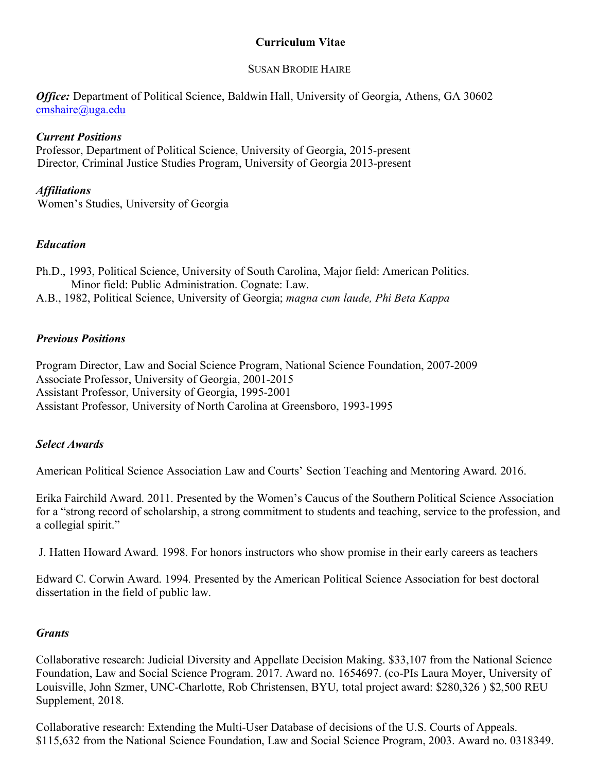# **Curriculum Vitae**

### SUSAN BRODIE HAIRE

*Office:* Department of Political Science, Baldwin Hall, University of Georgia, Athens, GA 30602 cmshaire@uga.edu

## *Current Positions*

Professor, Department of Political Science, University of Georgia, 2015-present Director, Criminal Justice Studies Program, University of Georgia 2013-present

### *Affiliations*

Women's Studies, University of Georgia

## *Education*

Ph.D., 1993, Political Science, University of South Carolina, Major field: American Politics. Minor field: Public Administration. Cognate: Law. A.B., 1982, Political Science, University of Georgia; *magna cum laude, Phi Beta Kappa*

### *Previous Positions*

Program Director, Law and Social Science Program, National Science Foundation, 2007-2009 Associate Professor, University of Georgia, 2001-2015 Assistant Professor, University of Georgia, 1995-2001 Assistant Professor, University of North Carolina at Greensboro, 1993-1995

### *Select Awards*

American Political Science Association Law and Courts' Section Teaching and Mentoring Award. 2016.

Erika Fairchild Award. 2011. Presented by the Women's Caucus of the Southern Political Science Association for a "strong record of scholarship, a strong commitment to students and teaching, service to the profession, and a collegial spirit."

J. Hatten Howard Award. 1998. For honors instructors who show promise in their early careers as teachers

Edward C. Corwin Award. 1994. Presented by the American Political Science Association for best doctoral dissertation in the field of public law.

### *Grants*

Collaborative research: Judicial Diversity and Appellate Decision Making. \$33,107 from the National Science Foundation, Law and Social Science Program. 2017. Award no. 1654697. (co-PIs Laura Moyer, University of Louisville, John Szmer, UNC-Charlotte, Rob Christensen, BYU, total project award: \$280,326 ) \$2,500 REU Supplement, 2018.

Collaborative research: Extending the Multi-User Database of decisions of the U.S. Courts of Appeals. \$115,632 from the National Science Foundation, Law and Social Science Program, 2003. Award no. 0318349.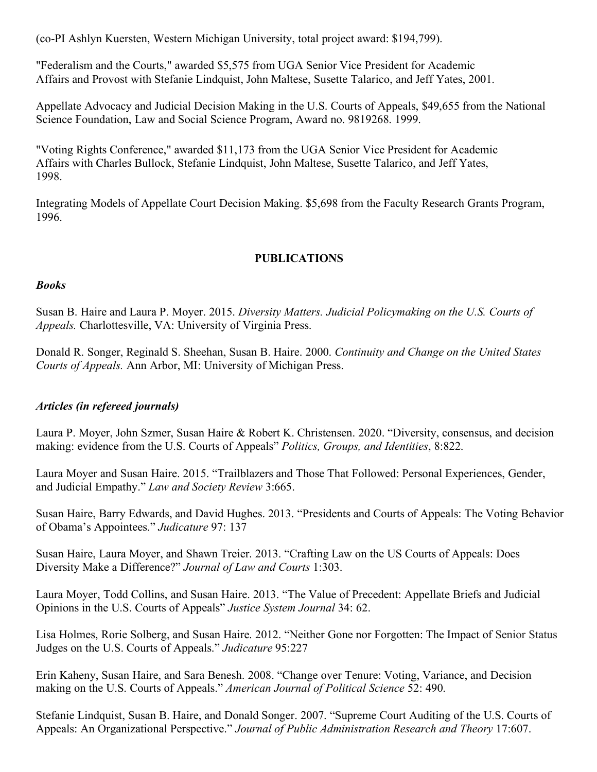(co-PI Ashlyn Kuersten, Western Michigan University, total project award: \$194,799).

"Federalism and the Courts," awarded \$5,575 from UGA Senior Vice President for Academic Affairs and Provost with Stefanie Lindquist, John Maltese, Susette Talarico, and Jeff Yates, 2001.

Appellate Advocacy and Judicial Decision Making in the U.S. Courts of Appeals, \$49,655 from the National Science Foundation, Law and Social Science Program, Award no. 9819268. 1999.

"Voting Rights Conference," awarded \$11,173 from the UGA Senior Vice President for Academic Affairs with Charles Bullock, Stefanie Lindquist, John Maltese, Susette Talarico, and Jeff Yates, 1998.

Integrating Models of Appellate Court Decision Making. \$5,698 from the Faculty Research Grants Program, 1996.

### **PUBLICATIONS**

#### *Books*

Susan B. Haire and Laura P. Moyer. 2015. *Diversity Matters. Judicial Policymaking on the U.S. Courts of Appeals.* Charlottesville, VA: University of Virginia Press.

Donald R. Songer, Reginald S. Sheehan, Susan B. Haire. 2000. *Continuity and Change on the United States Courts of Appeals.* Ann Arbor, MI: University of Michigan Press.

### *Articles (in refereed journals)*

Laura P. Moyer, John Szmer, Susan Haire & Robert K. Christensen. 2020. "Diversity, consensus, and decision making: evidence from the U.S. Courts of Appeals" *Politics, Groups, and Identities*, 8:822.

Laura Moyer and Susan Haire. 2015. "Trailblazers and Those That Followed: Personal Experiences, Gender, and Judicial Empathy." *Law and Society Review* 3:665.

Susan Haire, Barry Edwards, and David Hughes. 2013. "Presidents and Courts of Appeals: The Voting Behavior of Obama's Appointees." *Judicature* 97: 137

Susan Haire, Laura Moyer, and Shawn Treier. 2013. "Crafting Law on the US Courts of Appeals: Does Diversity Make a Difference?" *Journal of Law and Courts* 1:303.

Laura Moyer, Todd Collins, and Susan Haire. 2013. "The Value of Precedent: Appellate Briefs and Judicial Opinions in the U.S. Courts of Appeals" *Justice System Journal* 34: 62.

Lisa Holmes, Rorie Solberg, and Susan Haire. 2012. "Neither Gone nor Forgotten: The Impact of Senior Status Judges on the U.S. Courts of Appeals." *Judicature* 95:227

Erin Kaheny, Susan Haire, and Sara Benesh. 2008. "Change over Tenure: Voting, Variance, and Decision making on the U.S. Courts of Appeals." *American Journal of Political Science* 52: 490.

Stefanie Lindquist, Susan B. Haire, and Donald Songer. 2007. "Supreme Court Auditing of the U.S. Courts of Appeals: An Organizational Perspective." *Journal of Public Administration Research and Theory* 17:607.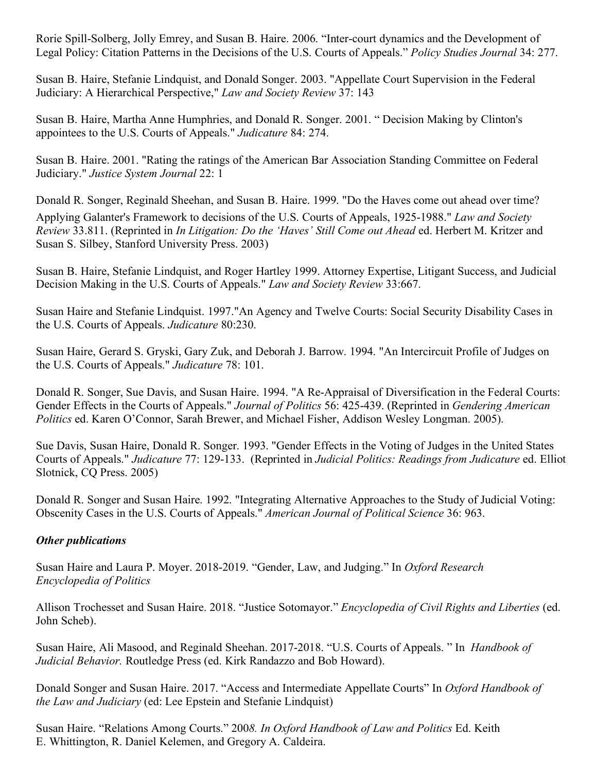Rorie Spill-Solberg, Jolly Emrey, and Susan B. Haire. 2006. "Inter-court dynamics and the Development of Legal Policy: Citation Patterns in the Decisions of the U.S. Courts of Appeals." *Policy Studies Journal* 34: 277.

Susan B. Haire, Stefanie Lindquist, and Donald Songer. 2003. "Appellate Court Supervision in the Federal Judiciary: A Hierarchical Perspective," *Law and Society Review* 37: 143

Susan B. Haire, Martha Anne Humphries, and Donald R. Songer. 2001. " Decision Making by Clinton's appointees to the U.S. Courts of Appeals." *Judicature* 84: 274.

Susan B. Haire. 2001. "Rating the ratings of the American Bar Association Standing Committee on Federal Judiciary." *Justice System Journal* 22: 1

Donald R. Songer, Reginald Sheehan, and Susan B. Haire. 1999. "Do the Haves come out ahead over time? Applying Galanter's Framework to decisions of the U.S. Courts of Appeals, 1925-1988." *Law and Society Review* 33.811. (Reprinted in *In Litigation: Do the 'Haves' Still Come out Ahead* ed. Herbert M. Kritzer and Susan S. Silbey, Stanford University Press. 2003)

Susan B. Haire, Stefanie Lindquist, and Roger Hartley 1999. Attorney Expertise, Litigant Success, and Judicial Decision Making in the U.S. Courts of Appeals." *Law and Society Review* 33:667.

Susan Haire and Stefanie Lindquist. 1997."An Agency and Twelve Courts: Social Security Disability Cases in the U.S. Courts of Appeals. *Judicature* 80:230.

Susan Haire, Gerard S. Gryski, Gary Zuk, and Deborah J. Barrow. 1994. "An Intercircuit Profile of Judges on the U.S. Courts of Appeals." *Judicature* 78: 101.

Donald R. Songer, Sue Davis, and Susan Haire. 1994. "A Re-Appraisal of Diversification in the Federal Courts: Gender Effects in the Courts of Appeals." *Journal of Politics* 56: 425-439. (Reprinted in *Gendering American Politics* ed. Karen O'Connor, Sarah Brewer, and Michael Fisher, Addison Wesley Longman. 2005).

Sue Davis, Susan Haire, Donald R. Songer. 1993. "Gender Effects in the Voting of Judges in the United States Courts of Appeals." *Judicature* 77: 129-133. (Reprinted in *Judicial Politics: Readings from Judicature* ed. Elliot Slotnick, CQ Press. 2005)

Donald R. Songer and Susan Haire. 1992. "Integrating Alternative Approaches to the Study of Judicial Voting: Obscenity Cases in the U.S. Courts of Appeals." *American Journal of Political Science* 36: 963.

# *Other publications*

Susan Haire and Laura P. Moyer. 2018-2019. "Gender, Law, and Judging." In *Oxford Research Encyclopedia of Politics*

Allison Trochesset and Susan Haire. 2018. "Justice Sotomayor." *Encyclopedia of Civil Rights and Liberties* (ed. John Scheb).

Susan Haire, Ali Masood, and Reginald Sheehan. 2017-2018. "U.S. Courts of Appeals. " In *Handbook of Judicial Behavior.* Routledge Press (ed. Kirk Randazzo and Bob Howard).

Donald Songer and Susan Haire. 2017. "Access and Intermediate Appellate Courts" In *Oxford Handbook of the Law and Judiciary* (ed: Lee Epstein and Stefanie Lindquist)

Susan Haire. "Relations Among Courts." 200*8. In Oxford Handbook of Law and Politics* Ed. Keith E. Whittington, R. Daniel Kelemen, and Gregory A. Caldeira.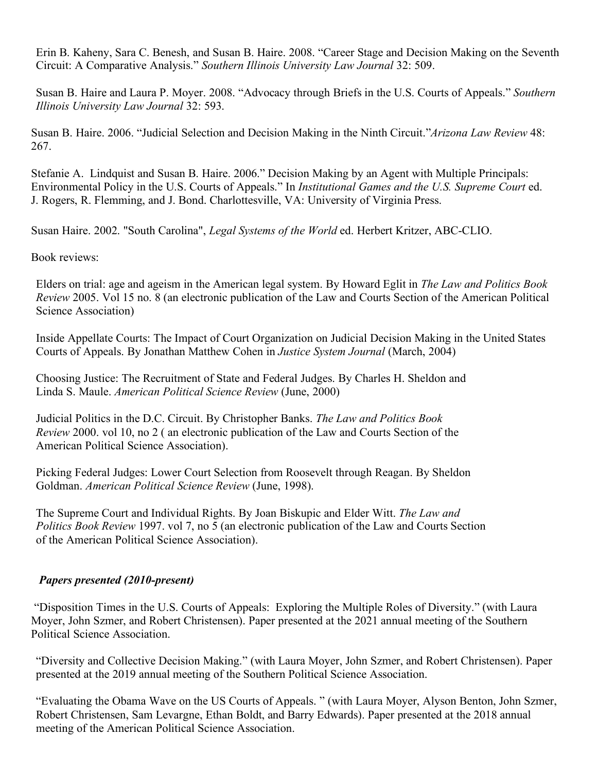Erin B. Kaheny, Sara C. Benesh, and Susan B. Haire. 2008. "Career Stage and Decision Making on the Seventh Circuit: A Comparative Analysis." *Southern Illinois University Law Journal* 32: 509.

Susan B. Haire and Laura P. Moyer. 2008. "Advocacy through Briefs in the U.S. Courts of Appeals." *Southern Illinois University Law Journal* 32: 593.

Susan B. Haire. 2006. "Judicial Selection and Decision Making in the Ninth Circuit."*Arizona Law Review* 48: 267.

Stefanie A. Lindquist and Susan B. Haire. 2006." Decision Making by an Agent with Multiple Principals: Environmental Policy in the U.S. Courts of Appeals." In *Institutional Games and the U.S. Supreme Court* ed. J. Rogers, R. Flemming, and J. Bond. Charlottesville, VA: University of Virginia Press.

Susan Haire. 2002. "South Carolina", *Legal Systems of the World* ed. Herbert Kritzer, ABC-CLIO.

Book reviews:

Elders on trial: age and ageism in the American legal system. By Howard Eglit in *The Law and Politics Book Review* 2005. Vol 15 no. 8 (an electronic publication of the Law and Courts Section of the American Political Science Association)

Inside Appellate Courts: The Impact of Court Organization on Judicial Decision Making in the United States Courts of Appeals. By Jonathan Matthew Cohen in *Justice System Journal* (March, 2004)

Choosing Justice: The Recruitment of State and Federal Judges. By Charles H. Sheldon and Linda S. Maule. *American Political Science Review* (June, 2000)

Judicial Politics in the D.C. Circuit. By Christopher Banks. *The Law and Politics Book Review* 2000. vol 10, no 2 ( an electronic publication of the Law and Courts Section of the American Political Science Association).

Picking Federal Judges: Lower Court Selection from Roosevelt through Reagan. By Sheldon Goldman. *American Political Science Review* (June, 1998).

The Supreme Court and Individual Rights. By Joan Biskupic and Elder Witt. *The Law and Politics Book Review* 1997. vol 7, no 5 (an electronic publication of the Law and Courts Section of the American Political Science Association).

### *Papers presented (2010-present)*

"Disposition Times in the U.S. Courts of Appeals: Exploring the Multiple Roles of Diversity." (with Laura Moyer, John Szmer, and Robert Christensen). Paper presented at the 2021 annual meeting of the Southern Political Science Association.

"Diversity and Collective Decision Making." (with Laura Moyer, John Szmer, and Robert Christensen). Paper presented at the 2019 annual meeting of the Southern Political Science Association.

"Evaluating the Obama Wave on the US Courts of Appeals. " (with Laura Moyer, Alyson Benton, John Szmer, Robert Christensen, Sam Levargne, Ethan Boldt, and Barry Edwards). Paper presented at the 2018 annual meeting of the American Political Science Association.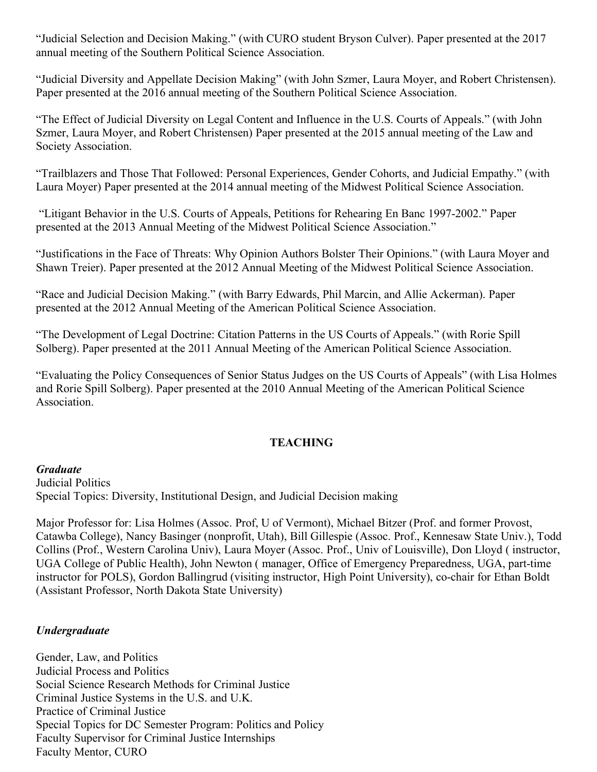"Judicial Selection and Decision Making." (with CURO student Bryson Culver). Paper presented at the 2017 annual meeting of the Southern Political Science Association.

"Judicial Diversity and Appellate Decision Making" (with John Szmer, Laura Moyer, and Robert Christensen). Paper presented at the 2016 annual meeting of the Southern Political Science Association.

"The Effect of Judicial Diversity on Legal Content and Influence in the U.S. Courts of Appeals." (with John Szmer, Laura Moyer, and Robert Christensen) Paper presented at the 2015 annual meeting of the Law and Society Association.

"Trailblazers and Those That Followed: Personal Experiences, Gender Cohorts, and Judicial Empathy." (with Laura Moyer) Paper presented at the 2014 annual meeting of the Midwest Political Science Association.

"Litigant Behavior in the U.S. Courts of Appeals, Petitions for Rehearing En Banc 1997-2002." Paper presented at the 2013 Annual Meeting of the Midwest Political Science Association."

"Justifications in the Face of Threats: Why Opinion Authors Bolster Their Opinions." (with Laura Moyer and Shawn Treier). Paper presented at the 2012 Annual Meeting of the Midwest Political Science Association.

"Race and Judicial Decision Making." (with Barry Edwards, Phil Marcin, and Allie Ackerman). Paper presented at the 2012 Annual Meeting of the American Political Science Association.

"The Development of Legal Doctrine: Citation Patterns in the US Courts of Appeals." (with Rorie Spill Solberg). Paper presented at the 2011 Annual Meeting of the American Political Science Association.

"Evaluating the Policy Consequences of Senior Status Judges on the US Courts of Appeals" (with Lisa Holmes and Rorie Spill Solberg). Paper presented at the 2010 Annual Meeting of the American Political Science Association.

### **TEACHING**

*Graduate*

Judicial Politics Special Topics: Diversity, Institutional Design, and Judicial Decision making

Major Professor for: Lisa Holmes (Assoc. Prof, U of Vermont), Michael Bitzer (Prof. and former Provost, Catawba College), Nancy Basinger (nonprofit, Utah), Bill Gillespie (Assoc. Prof., Kennesaw State Univ.), Todd Collins (Prof., Western Carolina Univ), Laura Moyer (Assoc. Prof., Univ of Louisville), Don Lloyd ( instructor, UGA College of Public Health), John Newton ( manager, Office of Emergency Preparedness, UGA, part-time instructor for POLS), Gordon Ballingrud (visiting instructor, High Point University), co-chair for Ethan Boldt (Assistant Professor, North Dakota State University)

# *Undergraduate*

Gender, Law, and Politics Judicial Process and Politics Social Science Research Methods for Criminal Justice Criminal Justice Systems in the U.S. and U.K. Practice of Criminal Justice Special Topics for DC Semester Program: Politics and Policy Faculty Supervisor for Criminal Justice Internships Faculty Mentor, CURO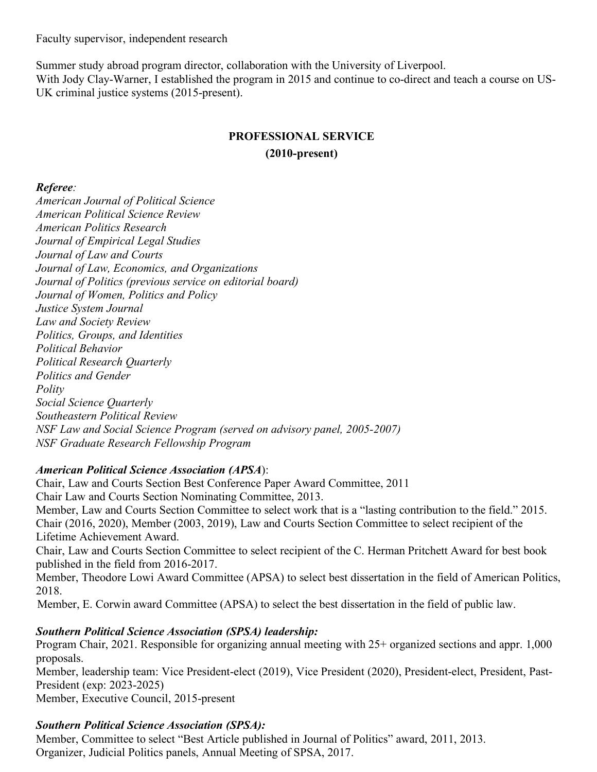Faculty supervisor, independent research

Summer study abroad program director, collaboration with the University of Liverpool. With Jody Clay-Warner, I established the program in 2015 and continue to co-direct and teach a course on US-UK criminal justice systems (2015-present).

# **PROFESSIONAL SERVICE (2010-present)**

# *Referee:*

*American Journal of Political Science American Political Science Review American Politics Research Journal of Empirical Legal Studies Journal of Law and Courts Journal of Law, Economics, and Organizations Journal of Politics (previous service on editorial board) Journal of Women, Politics and Policy Justice System Journal Law and Society Review Politics, Groups, and Identities Political Behavior Political Research Quarterly Politics and Gender Polity Social Science Quarterly Southeastern Political Review NSF Law and Social Science Program (served on advisory panel, 2005-2007) NSF Graduate Research Fellowship Program*

# *American Political Science Association (APSA*):

Chair, Law and Courts Section Best Conference Paper Award Committee, 2011 Chair Law and Courts Section Nominating Committee, 2013. Member, Law and Courts Section Committee to select work that is a "lasting contribution to the field." 2015. Chair (2016, 2020), Member (2003, 2019), Law and Courts Section Committee to select recipient of the Lifetime Achievement Award.

Chair, Law and Courts Section Committee to select recipient of the C. Herman Pritchett Award for best book published in the field from 2016-2017.

Member, Theodore Lowi Award Committee (APSA) to select best dissertation in the field of American Politics, 2018.

Member, E. Corwin award Committee (APSA) to select the best dissertation in the field of public law.

# *Southern Political Science Association (SPSA) leadership:*

Program Chair, 2021. Responsible for organizing annual meeting with 25+ organized sections and appr. 1,000 proposals.

Member, leadership team: Vice President-elect (2019), Vice President (2020), President-elect, President, Past-President (exp: 2023-2025)

Member, Executive Council, 2015-present

# *Southern Political Science Association (SPSA):*

Member, Committee to select "Best Article published in Journal of Politics" award, 2011, 2013. Organizer, Judicial Politics panels, Annual Meeting of SPSA, 2017.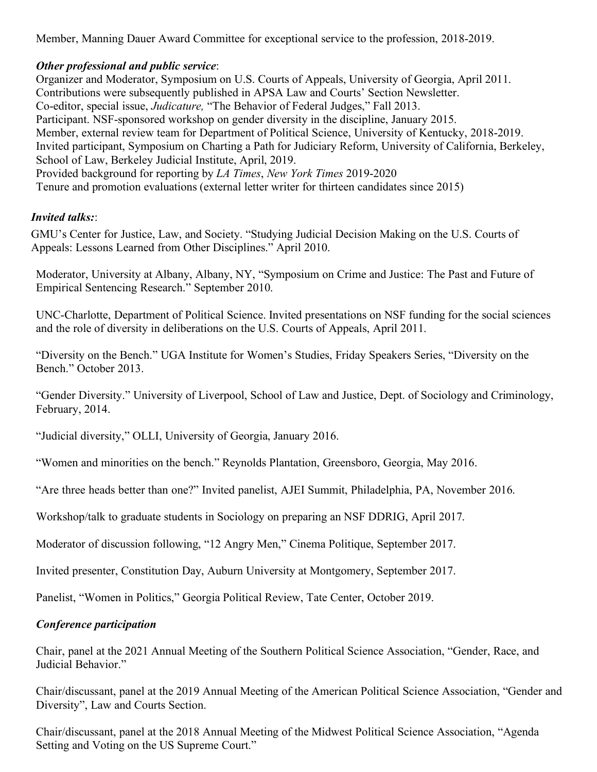Member, Manning Dauer Award Committee for exceptional service to the profession, 2018-2019.

## *Other professional and public service*:

Organizer and Moderator, Symposium on U.S. Courts of Appeals, University of Georgia, April 2011. Contributions were subsequently published in APSA Law and Courts' Section Newsletter. Co-editor, special issue, *Judicature,* "The Behavior of Federal Judges," Fall 2013. Participant. NSF-sponsored workshop on gender diversity in the discipline, January 2015. Member, external review team for Department of Political Science, University of Kentucky, 2018-2019. Invited participant, Symposium on Charting a Path for Judiciary Reform, University of California, Berkeley, School of Law, Berkeley Judicial Institute, April, 2019. Provided background for reporting by *LA Times*, *New York Times* 2019-2020 Tenure and promotion evaluations (external letter writer for thirteen candidates since 2015)

## *Invited talks:*:

GMU's Center for Justice, Law, and Society. "Studying Judicial Decision Making on the U.S. Courts of Appeals: Lessons Learned from Other Disciplines." April 2010.

Moderator, University at Albany, Albany, NY, "Symposium on Crime and Justice: The Past and Future of Empirical Sentencing Research." September 2010.

UNC-Charlotte, Department of Political Science. Invited presentations on NSF funding for the social sciences and the role of diversity in deliberations on the U.S. Courts of Appeals, April 2011.

"Diversity on the Bench." UGA Institute for Women's Studies, Friday Speakers Series, "Diversity on the Bench." October 2013.

"Gender Diversity." University of Liverpool, School of Law and Justice, Dept. of Sociology and Criminology, February, 2014.

"Judicial diversity," OLLI, University of Georgia, January 2016.

"Women and minorities on the bench." Reynolds Plantation, Greensboro, Georgia, May 2016.

"Are three heads better than one?" Invited panelist, AJEI Summit, Philadelphia, PA, November 2016.

Workshop/talk to graduate students in Sociology on preparing an NSF DDRIG, April 2017.

Moderator of discussion following, "12 Angry Men," Cinema Politique, September 2017.

Invited presenter, Constitution Day, Auburn University at Montgomery, September 2017.

Panelist, "Women in Politics," Georgia Political Review, Tate Center, October 2019.

### *Conference participation*

Chair, panel at the 2021 Annual Meeting of the Southern Political Science Association, "Gender, Race, and Judicial Behavior."

Chair/discussant, panel at the 2019 Annual Meeting of the American Political Science Association, "Gender and Diversity", Law and Courts Section.

Chair/discussant, panel at the 2018 Annual Meeting of the Midwest Political Science Association, "Agenda Setting and Voting on the US Supreme Court."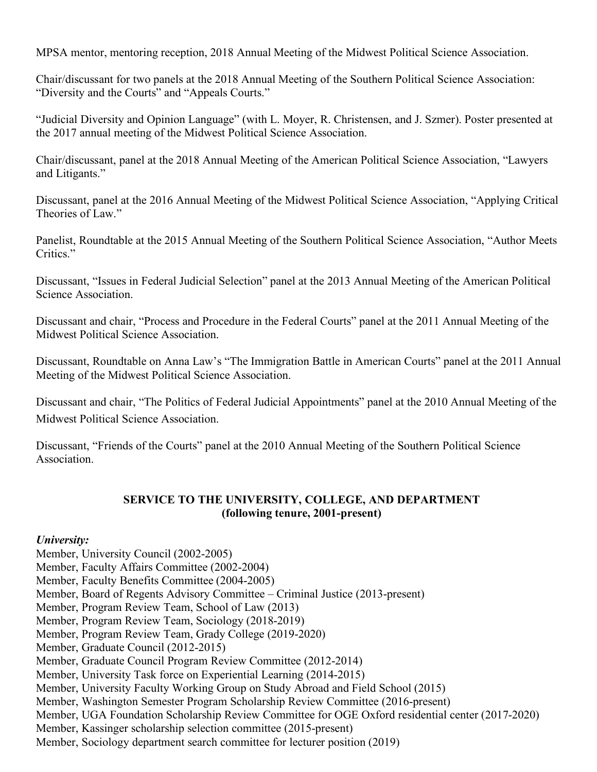MPSA mentor, mentoring reception, 2018 Annual Meeting of the Midwest Political Science Association.

Chair/discussant for two panels at the 2018 Annual Meeting of the Southern Political Science Association: "Diversity and the Courts" and "Appeals Courts."

"Judicial Diversity and Opinion Language" (with L. Moyer, R. Christensen, and J. Szmer). Poster presented at the 2017 annual meeting of the Midwest Political Science Association.

Chair/discussant, panel at the 2018 Annual Meeting of the American Political Science Association, "Lawyers and Litigants."

Discussant, panel at the 2016 Annual Meeting of the Midwest Political Science Association, "Applying Critical Theories of Law."

Panelist, Roundtable at the 2015 Annual Meeting of the Southern Political Science Association, "Author Meets Critics."

Discussant, "Issues in Federal Judicial Selection" panel at the 2013 Annual Meeting of the American Political Science Association.

Discussant and chair, "Process and Procedure in the Federal Courts" panel at the 2011 Annual Meeting of the Midwest Political Science Association.

Discussant, Roundtable on Anna Law's "The Immigration Battle in American Courts" panel at the 2011 Annual Meeting of the Midwest Political Science Association.

Discussant and chair, "The Politics of Federal Judicial Appointments" panel at the 2010 Annual Meeting of the Midwest Political Science Association.

Discussant, "Friends of the Courts" panel at the 2010 Annual Meeting of the Southern Political Science Association.

## **SERVICE TO THE UNIVERSITY, COLLEGE, AND DEPARTMENT (following tenure, 2001-present)**

### *University:*

Member, University Council (2002-2005) Member, Faculty Affairs Committee (2002-2004) Member, Faculty Benefits Committee (2004-2005) Member, Board of Regents Advisory Committee – Criminal Justice (2013-present) Member, Program Review Team, School of Law (2013) Member, Program Review Team, Sociology (2018-2019) Member, Program Review Team, Grady College (2019-2020) Member, Graduate Council (2012-2015) Member, Graduate Council Program Review Committee (2012-2014) Member, University Task force on Experiential Learning (2014-2015) Member, University Faculty Working Group on Study Abroad and Field School (2015) Member, Washington Semester Program Scholarship Review Committee (2016-present) Member, UGA Foundation Scholarship Review Committee for OGE Oxford residential center (2017-2020) Member, Kassinger scholarship selection committee (2015-present)

Member, Sociology department search committee for lecturer position (2019)